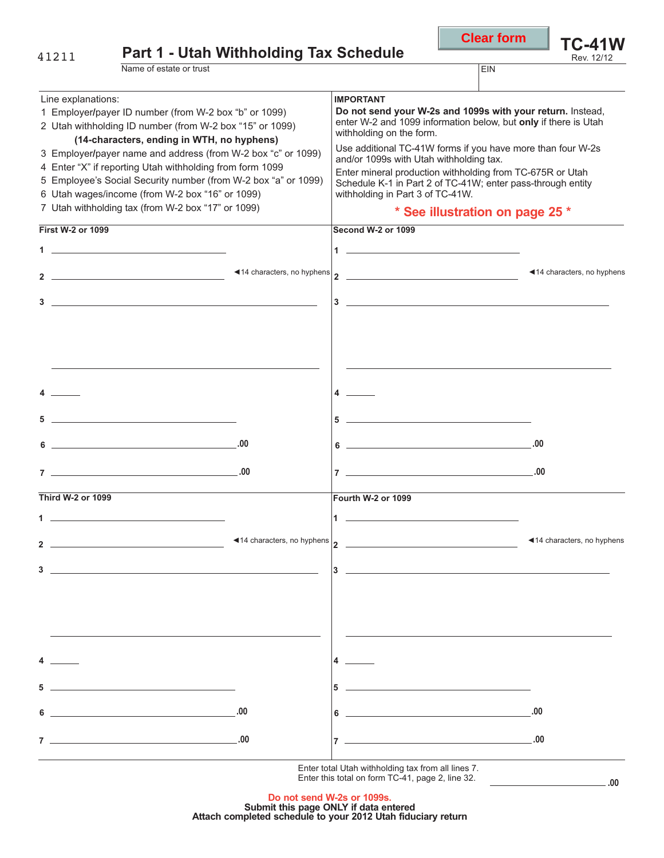| 41211                                                                                                                                                                                                                                                                                                                                                                                                                                                                                        | <b>Part 1 - Utah Withholding Tax Schedule</b>                                                                                                                                                                                                                                                                                                                                                                                                                      |            |                                                                                                                                                                                                                                              | <b>Clear form</b> | <b>TC-41W</b><br>Rev. 12/12 |
|----------------------------------------------------------------------------------------------------------------------------------------------------------------------------------------------------------------------------------------------------------------------------------------------------------------------------------------------------------------------------------------------------------------------------------------------------------------------------------------------|--------------------------------------------------------------------------------------------------------------------------------------------------------------------------------------------------------------------------------------------------------------------------------------------------------------------------------------------------------------------------------------------------------------------------------------------------------------------|------------|----------------------------------------------------------------------------------------------------------------------------------------------------------------------------------------------------------------------------------------------|-------------------|-----------------------------|
|                                                                                                                                                                                                                                                                                                                                                                                                                                                                                              | Name of estate or trust                                                                                                                                                                                                                                                                                                                                                                                                                                            |            |                                                                                                                                                                                                                                              | <b>EIN</b>        |                             |
|                                                                                                                                                                                                                                                                                                                                                                                                                                                                                              |                                                                                                                                                                                                                                                                                                                                                                                                                                                                    |            |                                                                                                                                                                                                                                              |                   |                             |
| Line explanations:<br>1 Employer/payer ID number (from W-2 box "b" or 1099)<br>2 Utah withholding ID number (from W-2 box "15" or 1099)<br>(14-characters, ending in WTH, no hyphens)<br>3 Employer/payer name and address (from W-2 box "c" or 1099)<br>4 Enter "X" if reporting Utah withholding from form 1099<br>5 Employee's Social Security number (from W-2 box "a" or 1099)<br>6 Utah wages/income (from W-2 box "16" or 1099)<br>7 Utah withholding tax (from W-2 box "17" or 1099) |                                                                                                                                                                                                                                                                                                                                                                                                                                                                    |            | <b>IMPORTANT</b><br>Do not send your W-2s and 1099s with your return. Instead,<br>enter W-2 and 1099 information below, but only if there is Utah<br>withholding on the form.<br>Use additional TC-41W forms if you have more than four W-2s |                   |                             |
|                                                                                                                                                                                                                                                                                                                                                                                                                                                                                              |                                                                                                                                                                                                                                                                                                                                                                                                                                                                    |            | and/or 1099s with Utah withholding tax.<br>Enter mineral production withholding from TC-675R or Utah<br>Schedule K-1 in Part 2 of TC-41W; enter pass-through entity<br>withholding in Part 3 of TC-41W.<br>* See illustration on page 25 *   |                   |                             |
| <b>First W-2 or 1099</b>                                                                                                                                                                                                                                                                                                                                                                                                                                                                     |                                                                                                                                                                                                                                                                                                                                                                                                                                                                    |            | Second W-2 or 1099                                                                                                                                                                                                                           |                   |                             |
|                                                                                                                                                                                                                                                                                                                                                                                                                                                                                              | $\mathbf 1$                                                                                                                                                                                                                                                                                                                                                                                                                                                        |            |                                                                                                                                                                                                                                              |                   |                             |
|                                                                                                                                                                                                                                                                                                                                                                                                                                                                                              | 2 $\overline{\phantom{a} \phantom{a} \phantom{a}}$ $\overline{\phantom{a} \phantom{a} \phantom{a}}$ $\overline{\phantom{a} \phantom{a} \phantom{a}}$ $\overline{\phantom{a} \phantom{a} \phantom{a}}$ $\overline{\phantom{a} \phantom{a} \phantom{a}}$ $\overline{\phantom{a} \phantom{a} \phantom{a}}$ $\overline{\phantom{a} \phantom{a} \phantom{a}}$ $\overline{\phantom{a} \phantom{a} \phantom{a}}$ $\overline{\phantom{a} \phantom{a} \phantom{a}}$ $\over$ |            |                                                                                                                                                                                                                                              |                   | ◀14 characters, no hyphens  |
|                                                                                                                                                                                                                                                                                                                                                                                                                                                                                              |                                                                                                                                                                                                                                                                                                                                                                                                                                                                    |            | $3 \thinspace -$                                                                                                                                                                                                                             |                   |                             |
| <b>Third W-2 or 1099</b><br>1 $-$<br>2<br>3                                                                                                                                                                                                                                                                                                                                                                                                                                                  | $5$ $\overline{\phantom{a}}$<br>$\begin{array}{c c} \hline \textbf{6} & \textbf{0} & \textbf{0} \\ \hline \end{array}$<br>$\begin{array}{c} \mathbf{7} \end{array}$                                                                                                                                                                                                                                                                                                |            | 4 $-$<br>$5$ $\overline{\phantom{a}}$<br>$\begin{array}{c c c c c} \hline \textbf{6} & \textbf{0} & \textbf{0} & \textbf{0} \\ \hline \end{array}$<br>$\begin{array}{c}\n7 \end{array}$<br>Fourth W-2 or 1099<br>$1 -$<br>3                  |                   | ◀14 characters, no hyphens  |
| 6                                                                                                                                                                                                                                                                                                                                                                                                                                                                                            |                                                                                                                                                                                                                                                                                                                                                                                                                                                                    | .00<br>.00 | 6                                                                                                                                                                                                                                            | .00.<br>.00       |                             |
|                                                                                                                                                                                                                                                                                                                                                                                                                                                                                              |                                                                                                                                                                                                                                                                                                                                                                                                                                                                    |            | Enter total Utah withholding tax from all lines 7.                                                                                                                                                                                           |                   |                             |
|                                                                                                                                                                                                                                                                                                                                                                                                                                                                                              |                                                                                                                                                                                                                                                                                                                                                                                                                                                                    |            | Enter this total on form TC-41, page 2, line 32.                                                                                                                                                                                             |                   | .00.                        |

**Clear form**

Г

**Do not send W-2s or 1099s. Submit this page ONLY if data entered Attach completed schedule to your 2012 Utah fiduciary return**